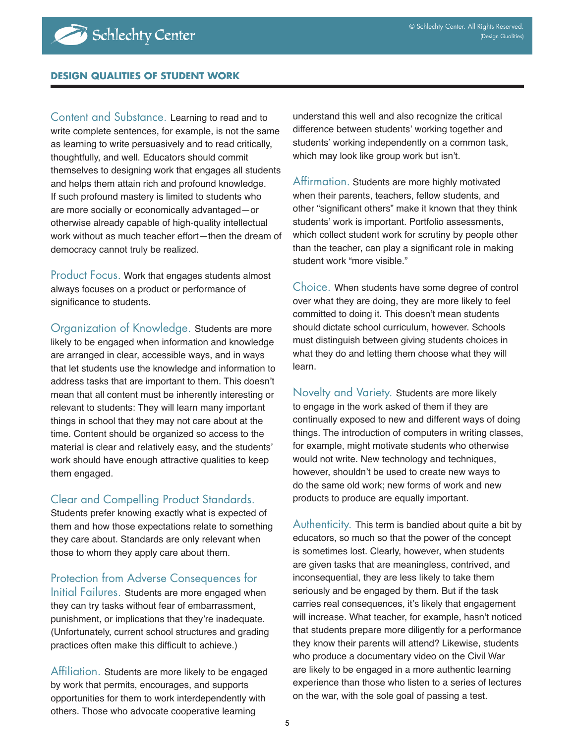#### **DESIGN QUALITIES OF STUDENT WORK**

Content and Substance. Learning to read and to write complete sentences, for example, is not the same as learning to write persuasively and to read critically, thoughtfully, and well. Educators should commit themselves to designing work that engages all students and helps them attain rich and profound knowledge. If such profound mastery is limited to students who are more socially or economically advantaged—or otherwise already capable of high-quality intellectual work without as much teacher effort—then the dream of democracy cannot truly be realized.

Product Focus. Work that engages students almost always focuses on a product or performance of significance to students.

Organization of Knowledge. Students are more likely to be engaged when information and knowledge are arranged in clear, accessible ways, and in ways that let students use the knowledge and information to address tasks that are important to them. This doesn't mean that all content must be inherently interesting or relevant to students: They will learn many important things in school that they may not care about at the time. Content should be organized so access to the material is clear and relatively easy, and the students' work should have enough attractive qualities to keep them engaged.

### Clear and Compelling Product Standards.

Students prefer knowing exactly what is expected of them and how those expectations relate to something they care about. Standards are only relevant when those to whom they apply care about them.

Protection from Adverse Consequences for

Initial Failures. Students are more engaged when they can try tasks without fear of embarrassment, punishment, or implications that they're inadequate. (Unfortunately, current school structures and grading practices often make this difficult to achieve.)

Affiliation. Students are more likely to be engaged by work that permits, encourages, and supports opportunities for them to work interdependently with others. Those who advocate cooperative learning

understand this well and also recognize the critical difference between students' working together and students' working independently on a common task, which may look like group work but isn't.

Affirmation. Students are more highly motivated when their parents, teachers, fellow students, and other "significant others" make it known that they think students' work is important. Portfolio assessments, which collect student work for scrutiny by people other than the teacher, can play a significant role in making student work "more visible."

Choice. When students have some degree of control over what they are doing, they are more likely to feel committed to doing it. This doesn't mean students should dictate school curriculum, however. Schools must distinguish between giving students choices in what they do and letting them choose what they will learn.

Novelty and Variety. Students are more likely to engage in the work asked of them if they are continually exposed to new and different ways of doing things. The introduction of computers in writing classes, for example, might motivate students who otherwise would not write. New technology and techniques, however, shouldn't be used to create new ways to do the same old work; new forms of work and new products to produce are equally important.

Authenticity. This term is bandied about quite a bit by educators, so much so that the power of the concept is sometimes lost. Clearly, however, when students are given tasks that are meaningless, contrived, and inconsequential, they are less likely to take them seriously and be engaged by them. But if the task carries real consequences, it's likely that engagement will increase. What teacher, for example, hasn't noticed that students prepare more diligently for a performance they know their parents will attend? Likewise, students who produce a documentary video on the Civil War are likely to be engaged in a more authentic learning experience than those who listen to a series of lectures on the war, with the sole goal of passing a test.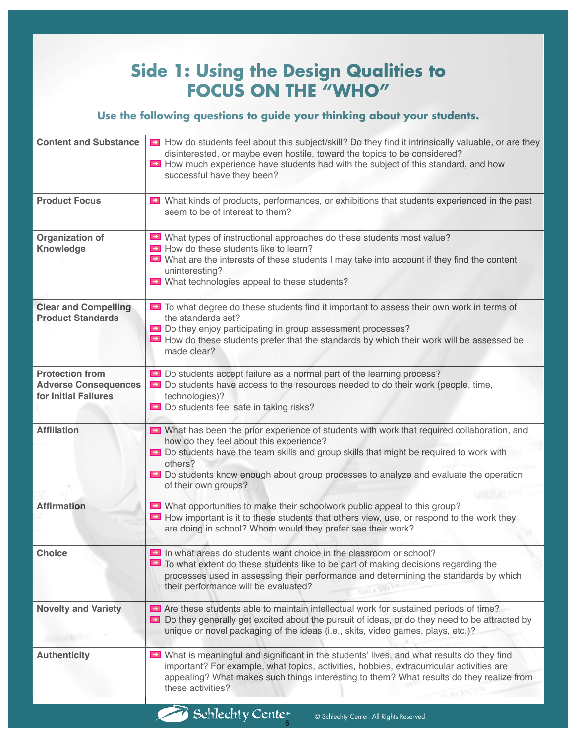## **Side 1: Using the Design Qualities to FOCUS ON THE "WHO"**

## **Use the following questions to guide your thinking about your students.**

| <b>Content and Substance</b>                                                  | Del How do students feel about this subject/skill? Do they find it intrinsically valuable, or are they<br>disinterested, or maybe even hostile, toward the topics to be considered?<br>DI How much experience have students had with the subject of this standard, and how<br>successful have they been?                                                |
|-------------------------------------------------------------------------------|---------------------------------------------------------------------------------------------------------------------------------------------------------------------------------------------------------------------------------------------------------------------------------------------------------------------------------------------------------|
| <b>Product Focus</b>                                                          | Mhat kinds of products, performances, or exhibitions that students experienced in the past<br>seem to be of interest to them?                                                                                                                                                                                                                           |
| Organization of<br><b>Knowledge</b>                                           | Mhat types of instructional approaches do these students most value?<br>How do these students like to learn?<br>D What are the interests of these students I may take into account if they find the content<br>uninteresting?<br>Mhat technologies appeal to these students?                                                                            |
| <b>Clear and Compelling</b><br><b>Product Standards</b>                       | Del To what degree do these students find it important to assess their own work in terms of<br>the standards set?<br>Do they enjoy participating in group assessment processes?<br>D How do these students prefer that the standards by which their work will be assessed be<br>made clear?                                                             |
| <b>Protection from</b><br><b>Adverse Consequences</b><br>for Initial Failures | Do students accept failure as a normal part of the learning process?<br>Do students have access to the resources needed to do their work (people, time,<br>technologies)?<br>Do students feel safe in taking risks?                                                                                                                                     |
| <b>Affiliation</b>                                                            | Mhat has been the prior experience of students with work that required collaboration, and<br>how do they feel about this experience?<br>Do students have the team skills and group skills that might be required to work with<br>others?<br>Do students know enough about group processes to analyze and evaluate the operation<br>of their own groups? |
| <b>Affirmation</b>                                                            | What opportunities to make their schoolwork public appeal to this group?<br>DI How important is it to these students that others view, use, or respond to the work they<br>are doing in school? Whom would they prefer see their work?                                                                                                                  |
| <b>Choice</b>                                                                 | In what areas do students want choice in the classroom or school?<br>$\blacktriangleright$ To what extent do these students like to be part of making decisions regarding the<br>processes used in assessing their performance and determining the standards by which<br>their performance will be evaluated?<br><b>SOLVERN PRINT</b>                   |
| <b>Novelty and Variety</b>                                                    | Take these students able to maintain intellectual work for sustained periods of time?<br>Do they generally get excited about the pursuit of ideas, or do they need to be attracted by<br>unique or novel packaging of the ideas (i.e., skits, video games, plays, etc.)?                                                                                |
| <b>Authenticity</b>                                                           | Notative IV What is meaningful and significant in the students' lives, and what results do they find<br>important? For example, what topics, activities, hobbies, extracurricular activities are<br>appealing? What makes such things interesting to them? What results do they realize from<br>these activities?                                       |
|                                                                               | <b>Schlechty Center</b><br>© Schlechty Center. All Rights Reserved.                                                                                                                                                                                                                                                                                     |

6